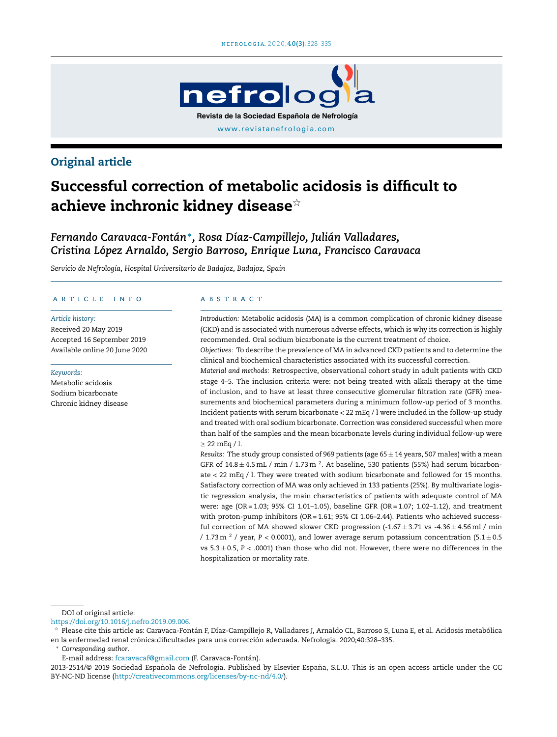

## Original article

# Successful correction of metabolic acidosis is difficult to achieve inchronic kidney disease $^{\scriptscriptstyle\mathrm{\mathop{\otimes} }}$

*Fernando Caravaca-Fontán*<sup>∗</sup> *, Rosa Díaz-Campillejo, Julián Valladares, Cristina López Arnaldo, Sergio Barroso, Enrique Luna, Francisco Caravaca*

*Servicio de Nefrología, Hospital Universitario de Badajoz, Badajoz, Spain*

#### a r t i c l e i n f o

#### *Article history:*

Received 20 May 2019 Accepted 16 September 2019 Available online 20 June 2020

#### *Keywords:*

Metabolic acidosis Sodium bicarbonate Chronic kidney disease

#### A B S T R A C T

*Introduction:* Metabolic acidosis (MA) is a common complication of chronic kidney disease (CKD) and is associated with numerous adverse effects, which is why its correction is highly recommended. Oral sodium bicarbonate is the current treatment of choice.

*Objectives:* To describe the prevalence of MA in advanced CKD patients and to determine the clinical and biochemical characteristics associated with its successful correction.

*Material and methods:* Retrospective, observational cohort study in adult patients with CKD stage 4–5. The inclusion criteria were: not being treated with alkali therapy at the time of inclusion, and to have at least three consecutive glomerular filtration rate (GFR) measurements and biochemical parameters during a minimum follow-up period of 3 months. Incident patients with serum bicarbonate < 22 mEq / l were included in the follow-up study and treated with oral sodium bicarbonate. Correction was considered successful when more than half of the samples and the mean bicarbonate levels during individual follow-up were  $\geq$  22 mEq / l.

*Results:* The study group consisted of 969 patients (age 65 ± 14 years, 507 males) with a mean GFR of  $14.8 \pm 4.5$  mL / min / 1.73 m  $^2$ . At baseline, 530 patients (55%) had serum bicarbonate < 22 mEq / l. They were treated with sodium bicarbonate and followed for 15 months. Satisfactory correction of MA was only achieved in 133 patients (25%). By multivariate logistic regression analysis, the main characteristics of patients with adequate control of MA were: age (OR = 1.03; 95% CI 1.01–1.05), baseline GFR (OR = 1.07; 1.02–1.12), and treatment with proton-pump inhibitors (OR = 1.61; 95% CI 1.06–2.44). Patients who achieved successful correction of MA showed slower CKD progression  $(-1.67 \pm 3.71 \text{ vs } -4.36 \pm 4.56 \text{ ml})$  / min / 1.73 m  $^2$  / year, P < 0.0001), and lower average serum potassium concentration (5.1  $\pm$  0.5 vs  $5.3 \pm 0.5$ ,  $P < .0001$ ) than those who did not. However, there were no differences in the hospitalization or mortality rate.

DOI of original article:

<sup>∗</sup> *Corresponding author*.

<https://doi.org/10.1016/j.nefro.2019.09.006>.

 $\frac{1}{24}$  Please cite this article as: Caravaca-Fontán F, Díaz-Campillejo R, Valladares J, Arnaldo CL, Barroso S, Luna E, et al. Acidosis metabólica en la enfermedad renal crónica:dificultades para una corrección adecuada. Nefrologia. 2020;40:328–335.

E-mail address: [fcaravacaf@gmail.com](mailto:fcaravacaf@gmail.com) (F. Caravaca-Fontán).

<sup>2013-2514/© 2019</sup> Sociedad Española de Nefrología. Published by Elsevier España, S.L.U. This is an open access article under the CC BY-NC-ND license [\(http://creativecommons.org/licenses/by-nc-nd/4.0/](http://creativecommons.org/licenses/by-nc-nd/4.0/)).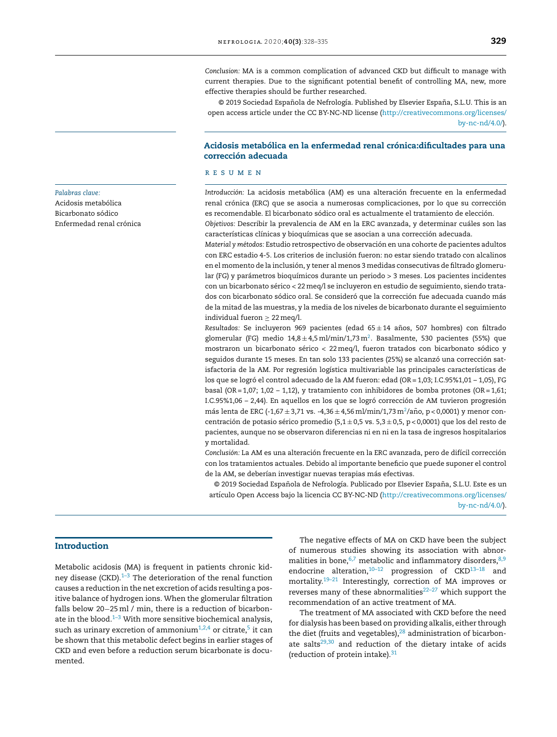*Conclusion:* MA is a common complication of advanced CKD but difficult to manage with current therapies. Due to the significant potential benefit of controlling MA, new, more effective therapies should be further researched.

© 2019 Sociedad Española de Nefrología. Published by Elsevier España, S.L.U. This is an open access article under the CC BY-NC-ND license ([http://creativecommons.org/licenses/](http://creativecommons.org/licenses/by-nc-nd/4.0/) [by-nc-nd/4.0/](http://creativecommons.org/licenses/by-nc-nd/4.0/)).

#### Acidosis metabólica en la enfermedad renal crónica:dificultades para una corrección adecuada

#### r e s u m e n

*Introducción:* La acidosis metabólica (AM) es una alteración frecuente en la enfermedad renal crónica (ERC) que se asocia a numerosas complicaciones, por lo que su corrección es recomendable. El bicarbonato sódico oral es actualmente el tratamiento de elección.

*Objetivos:* Describir la prevalencia de AM en la ERC avanzada, y determinar cuáles son las características clínicas y bioquímicas que se asocian a una corrección adecuada.

*Material y métodos:* Estudio retrospectivo de observación en una cohorte de pacientes adultos con ERC estadio 4-5. Los criterios de inclusión fueron: no estar siendo tratado con alcalinos en el momento de la inclusión, y tener al menos 3 medidas consecutivas de filtrado glomerular (FG) y parámetros bioquímicos durante un periodo > 3 meses. Los pacientes incidentes con un bicarbonato sérico < 22meq/l se incluyeron en estudio de seguimiento, siendo tratados con bicarbonato sódico oral. Se consideró que la corrección fue adecuada cuando más de la mitad de las muestras, y la media de los niveles de bicarbonato durante el seguimiento individual fueron  $\geq 22$  meq/l.

*Resultados: Se incluyeron 969 pacientes (edad 65* $\pm$ *14 años, 507 hombres) con filtrado* glomerular (FG) medio 14,8 $\pm$ 4,5 ml/min/1,73 m $^2$  $^2$ . Basalmente, 530 pacientes (55%) que mostraron un bicarbonato sérico < 22meq/l, fueron tratados con bicarbonato sódico y seguidos durante 15 meses. En tan solo 133 pacientes (25%) se alcanzó una corrección satisfactoria de la AM. Por regresión logística multivariable las principales características de los que se logró el control adecuado de la AM fueron: edad (OR = 1,03; I.C.95%1,01 – 1,05), FG basal (OR = 1,07; 1,02 – 1,12), y tratamiento con inhibidores de bomba protones (OR = 1,61; I.C.95%1,06 – 2,44). En aquellos en los que se logró corrección de AM tuvieron progresión más lenta de ERC (-1,67  $\pm$  3,71 vs. -4,36  $\pm$ 4,56 ml/min/1,73 m $^2$ [/a](#page-6-0)ño, p < 0,0001) y menor concentración de potasio sérico promedio (5,1 $\pm$ 0,5 vs. 5,3 $\pm$ 0,5, p < 0,0001) que los del resto de pacientes, aunque no se observaron diferencias ni en ni en la tasa de ingresos hospitalarios y mortalidad.

*Conclusión:* La AM es una alteración frecuente en la ERC avanzada, pero de difícil corrección con los tratamientos actuales. Debido al importante beneficio que puede suponer el control de la AM, se deberían investigar nuevas terapias más efectivas.

© 2019 Sociedad Española de Nefrología. Publicado por Elsevier España, S.L.U. Este es un artículo Open Access bajo la licencia CC BY-NC-ND ([http://creativecommons.org/licenses/](http://creativecommons.org/licenses/by-nc-nd/4.0/)

[by-nc-nd/4.0/](http://creativecommons.org/licenses/by-nc-nd/4.0/)).

#### *Palabras clave:*

Acidosis metabólica Bicarbonato sódico Enfermedad renal crónica

#### Introduction

Metabolic acidosis (MA) is frequent in patients chronic kidney disease (CKD). $1-3$  The deterioration of the renal function causes a reduction in the net excretion of acids resulting a positive balance of hydrogen ions. When the glomerular filtration falls below 20−25 ml / min, there is a reduction of bicarbonate in the blood. $1-3$  With more sensitive biochemical analysis, such as urinary excretion of ammonium $^{1,2,4}$  $^{1,2,4}$  $^{1,2,4}$  or citrate, $^5$  $^5$  it can be shown that this metabolic defect begins in earlier stages of CKD and even before a reduction serum bicarbonate is documented.

The negative effects of MA on CKD have been the subject of numerous studies showing its association with abnormalities in bone,  $6,7$  metabolic and inflammatory disorders,  $8,9$ endocrine alteration, $10-12$  progression of CKD $13-18$  and mortality.[19–21](#page-7-0) Interestingly, correction of MA improves or reverses many of these abnormalities $22-27$  which support the recommendation of an active treatment of MA.

The treatment of MA associated with CKD before the need for dialysis has been based on providing alkalis, either through the diet (fruits and vegetables), $^{28}$  $^{28}$  $^{28}$  administration of bicarbonate salts $29,30$  and reduction of the dietary intake of acids (reduction of protein intake). $31$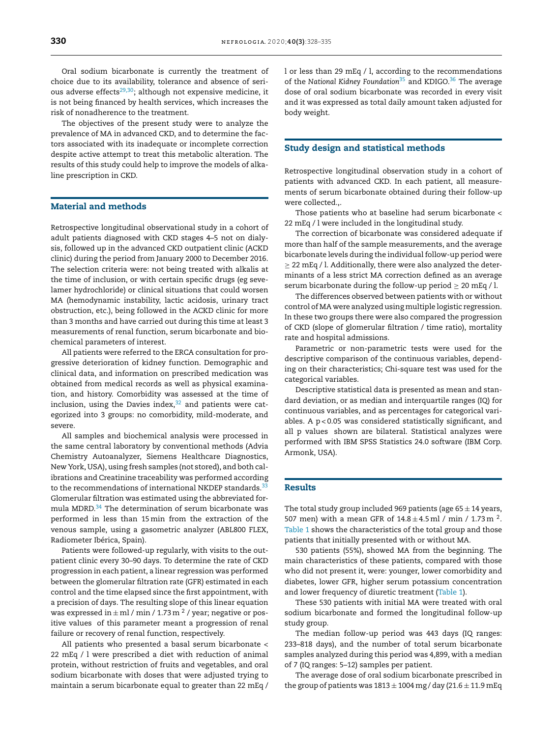Oral sodium bicarbonate is currently the treatment of choice due to its availability, tolerance and absence of serious adverse effects $29,30$ ; although not expensive medicine, it is not being financed by health services, which increases the risk of nonadherence to the treatment.

The objectives of the present study were to analyze the prevalence of MA in advanced CKD, and to determine the factors associated with its inadequate or incomplete correction despite active attempt to treat this metabolic alteration. The results of this study could help to improve the models of alkaline prescription in CKD.

#### Material and methods

Retrospective longitudinal observational study in a cohort of adult patients diagnosed with CKD stages 4–5 not on dialysis, followed up in the advanced CKD outpatient clinic (ACKD clinic) during the period from January 2000 to December 2016. The selection criteria were: not being treated with alkalis at the time of inclusion, or with certain specific drugs (eg sevelamer hydrochloride) or clinical situations that could worsen MA (hemodynamic instability, lactic acidosis, urinary tract obstruction, etc.), being followed in the ACKD clinic for more than 3 months and have carried out during this time at least 3 measurements of renal function, serum bicarbonate and biochemical parameters of interest.

All patients were referred to the ERCA consultation for progressive deterioration of kidney function. Demographic and clinical data, and information on prescribed medication was obtained from medical records as well as physical examination, and history. Comorbidity was assessed at the time of inclusion, using the Davies index, $32$  and patients were categorized into 3 groups: no comorbidity, mild-moderate, and severe.

All samples and biochemical analysis were processed in the same central laboratory by conventional methods (Advia Chemistry Autoanalyzer, Siemens Healthcare Diagnostics, New York, USA), using fresh samples (not stored), and both calibrations and Creatinine traceability was performed according to the recommendations of international NKDEP standards. $33$ Glomerular filtration was estimated using the abbreviated for-mula MDRD.<sup>[34](#page-7-0)</sup> The determination of serum bicarbonate was performed in less than 15min from the extraction of the venous sample, using a gasometric analyzer (ABL800 FLEX, Radiometer Ibérica, Spain).

Patients were followed-up regularly, with visits to the outpatient clinic every 30–90 days. To determine the rate of CKD progression in each patient, a linear regression was performed between the glomerular filtration rate (GFR) estimated in each control and the time elapsed since the first appointment, with a precision of days. The resulting slope of this linear equation was expressed in  $\pm$  ml / min / 1.73 m  $^2$  / year; negative or positive values of this parameter meant a progression of renal failure or recovery of renal function, respectively.

All patients who presented a basal serum bicarbonate < 22 mEq / l were prescribed a diet with reduction of animal protein, without restriction of fruits and vegetables, and oral sodium bicarbonate with doses that were adjusted trying to maintain a serum bicarbonate equal to greater than 22 mEq /

l or less than 29 mEq / l, according to the recommendations of the *National Kidney Foundation*[35](#page-7-0) and KDIGO.[36](#page-7-0) The average dose of oral sodium bicarbonate was recorded in every visit and it was expressed as total daily amount taken adjusted for body weight.

#### Study design and statistical methods

Retrospective longitudinal observation study in a cohort of patients with advanced CKD. In each patient, all measurements of serum bicarbonate obtained during their follow-up were collected.,.

Those patients who at baseline had serum bicarbonate < 22 mEq / l were included in the longitudinal study.

The correction of bicarbonate was considered adequate if more than half of the sample measurements, and the average bicarbonate levels during the individual follow-up period were ≥ 22 mEq / l. Additionally, there were also analyzed the determinants of a less strict MA correction defined as an average serum bicarbonate during the follow-up period  $\geq 20$  mEq / l.

The differences observed between patients with or without control of MA were analyzed using multiple logistic regression. In these two groups there were also compared the progression of CKD (slope of glomerular filtration / time ratio), mortality rate and hospital admissions.

Parametric or non-parametric tests were used for the descriptive comparison of the continuous variables, depending on their characteristics; Chi-square test was used for the categorical variables.

Descriptive statistical data is presented as mean and standard deviation, or as median and interquartile ranges (IQ) for continuous variables, and as percentages for categorical variables. A  $p < 0.05$  was considered statistically significant, and all p values shown are bilateral. Statistical analyzes were performed with IBM SPSS Statistics 24.0 software (IBM Corp. Armonk, USA).

#### Results

The total study group included 969 patients (age  $65 \pm 14$  years, 507 men) with a mean GFR of  $14.8 \pm 4.5$  ml / min / 1.73 m <sup>2</sup>. [Table](#page-3-0) 1 shows the characteristics of the total group and those patients that initially presented with or without MA.

530 patients (55%), showed MA from the beginning. The main characteristics of these patients, compared with those who did not present it, were: younger, lower comorbidity and diabetes, lower GFR, higher serum potassium concentration and lower frequency of diuretic treatment [\(Table](#page-3-0) 1).

These 530 patients with initial MA were treated with oral sodium bicarbonate and formed the longitudinal follow-up study group.

The median follow-up period was 443 days (IQ ranges: 233–818 days), and the number of total serum bicarbonate samples analyzed during this period was 4,899, with a median of 7 (IQ ranges: 5–12) samples per patient.

The average dose of oral sodium bicarbonate prescribed in the group of patients was  $1813 \pm 1004$  mg/day (21.6  $\pm$  11.9 mEq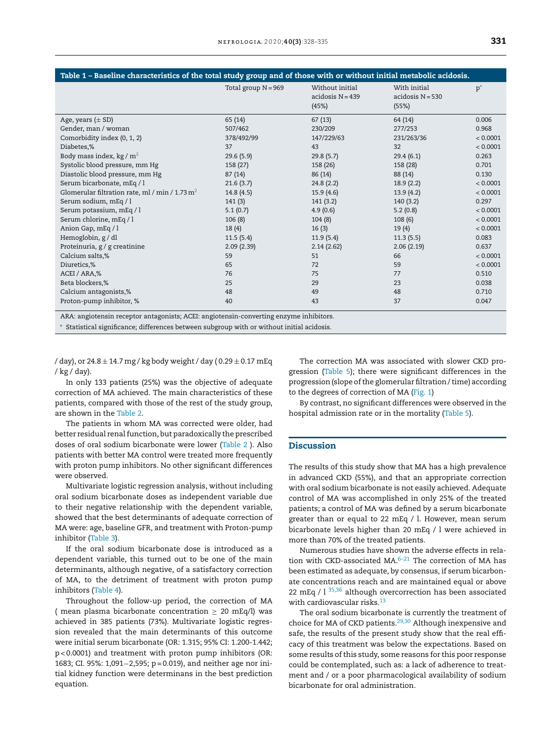<span id="page-3-0"></span>

| Table 1 - Baseline characteristics of the total study group and of those with or without initial metabolic acidosis. |                       |                                              |                                           |          |  |
|----------------------------------------------------------------------------------------------------------------------|-----------------------|----------------------------------------------|-------------------------------------------|----------|--|
|                                                                                                                      | Total group $N = 969$ | Without initial<br>$accidosN = 439$<br>(45%) | With initial<br>$accidosN = 530$<br>(55%) | $p^*$    |  |
| Age, years $(\pm SD)$                                                                                                | 65 (14)               | 67(13)                                       | 64 (14)                                   | 0.006    |  |
| Gender, man / woman                                                                                                  | 507/462               | 230/209                                      | 277/253                                   | 0.968    |  |
| Comorbidity index (0, 1, 2)                                                                                          | 378/492/99            | 147/229/63                                   | 231/263/36                                | < 0.0001 |  |
| Diabetes,%                                                                                                           | 37                    | 43                                           | 32                                        | < 0.0001 |  |
| Body mass index, $kg/m2$                                                                                             | 29.6(5.9)             | 29.8(5.7)                                    | 29.4(6.1)                                 | 0.263    |  |
| Systolic blood pressure, mm Hg                                                                                       | 158 (27)              | 158 (26)                                     | 158 (28)                                  | 0.701    |  |
| Diastolic blood pressure, mm Hg                                                                                      | 87 (14)               | 86 (14)                                      | 88 (14)                                   | 0.130    |  |
| Serum bicarbonate, mEq / l                                                                                           | 21.6(3.7)             | 24.8(2.2)                                    | 18.9(2.2)                                 | < 0.0001 |  |
| Glomerular filtration rate, ml / min / 1.73 $m2$                                                                     | 14.8(4.5)             | 15.9(4.6)                                    | 13.9(4.2)                                 | < 0.0001 |  |
| Serum sodium, mEq / l                                                                                                | 141(3)                | 141(3.2)                                     | 140(3.2)                                  | 0.297    |  |
| Serum potassium, mEq / l                                                                                             | 5.1(0.7)              | 4.9(0.6)                                     | 5.2(0.8)                                  | < 0.0001 |  |
| Serum chlorine, mEq / l                                                                                              | 106(8)                | 104(8)                                       | 108(6)                                    | < 0.0001 |  |
| Anion Gap, mEq / l                                                                                                   | 18(4)                 | 16(3)                                        | 19(4)                                     | < 0.0001 |  |
| Hemoglobin, g / dl                                                                                                   | 11.5(5.4)             | 11.9(5.4)                                    | 11.3(5.5)                                 | 0.083    |  |
| Proteinuria, g / g creatinine                                                                                        | 2.09(2.39)            | 2.14(2.62)                                   | 2.06(2.19)                                | 0.637    |  |
| Calcium salts,%                                                                                                      | 59                    | 51                                           | 66                                        | < 0.0001 |  |
| Diuretics,%                                                                                                          | 65                    | 72                                           | 59                                        | < 0.0001 |  |
| ACEI / ARA,%                                                                                                         | 76                    | 75                                           | 77                                        | 0.510    |  |
| Beta blockers,%                                                                                                      | 25                    | 29                                           | 23                                        | 0.038    |  |
| Calcium antagonists,%                                                                                                | 48                    | 49                                           | 48                                        | 0.710    |  |
| Proton-pump inhibitor, %                                                                                             | 40                    | 43                                           | 37                                        | 0.047    |  |

ARA: angiotensin receptor antagonists; ACEI: angiotensin-converting enzyme inhibitors.

<sup>∗</sup> Statistical significance; differences between subgroup with or without initial acidosis.

/ day), or  $24.8 \pm 14.7$  mg / kg body weight / day (0.29  $\pm$  0.17 mEq / kg / day).

In only 133 patients (25%) was the objective of adequate correction of MA achieved. The main characteristics of these patients, compared with those of the rest of the study group, are shown in the [Table](#page-4-0) 2.

The patients in whom MA was corrected were older, had better residual renal function, but paradoxically the prescribed doses of oral sodium bicarbonate were lower ([Table](#page-4-0) 2 ). Also patients with better MA control were treated more frequently with proton pump inhibitors. No other significant differences were observed.

Multivariate logistic regression analysis, without including oral sodium bicarbonate doses as independent variable due to their negative relationship with the dependent variable, showed that the best determinants of adequate correction of MA were: age, baseline GFR, and treatment with Proton-pump inhibitor ([Table](#page-4-0) 3).

If the oral sodium bicarbonate dose is introduced as a dependent variable, this turned out to be one of the main determinants, although negative, of a satisfactory correction of MA, to the detriment of treatment with proton pump inhibitors ([Table](#page-4-0) 4).

Throughout the follow-up period, the correction of MA ( mean plasma bicarbonate concentration  $\geq$  20 mEq/l) was achieved in 385 patients (73%). Multivariate logistic regression revealed that the main determinants of this outcome were initial serum bicarbonate (OR: 1.315; 95% CI: 1.200-1.442; p < 0.0001) and treatment with proton pump inhibitors (OR: 1683; CI. 95%: 1,091−2,595; p = 0.019), and neither age nor initial kidney function were determinans in the best prediction equation.

The correction MA was associated with slower CKD progression ([Table](#page-5-0) 5); there were significant differences in the progression (slope of the glomerular filtration / time) according to the degrees of correction of MA [\(Fig.](#page-5-0) 1)

By contrast, no significant differences were observed in the hospital admission rate or in the mortality ([Table](#page-5-0) 5).

#### **Discussion**

The results of this study show that MA has a high prevalence in advanced CKD (55%), and that an appropriate correction with oral sodium bicarbonate is not easily achieved. Adequate control of MA was accomplished in only 25% of the treated patients; a control of MA was defined by a serum bicarbonate greater than or equal to 22 mEq / l. However, mean serum bicarbonate levels higher than 20 mEq / l were achieved in more than 70% of the treated patients.

Numerous studies have shown the adverse effects in relation with CKD-associated MA. $6-21$  The correction of MA has been estimated as adequate, by consensus, if serum bicarbonate concentrations reach and are maintained equal or above 22 mEq /  $1^{35,36}$  $1^{35,36}$  $1^{35,36}$  although overcorrection has been associated with cardiovascular risks.<sup>[13](#page-6-0)</sup>

The oral sodium bicarbonate is currently the treatment of choice for MA of CKD patients.<sup>[29,30](#page-7-0)</sup> Although inexpensive and safe, the results of the present study show that the real efficacy of this treatment was below the expectations. Based on some results of this study, some reasons for this poor response could be contemplated, such as: a lack of adherence to treatment and / or a poor pharmacological availability of sodium bicarbonate for oral administration.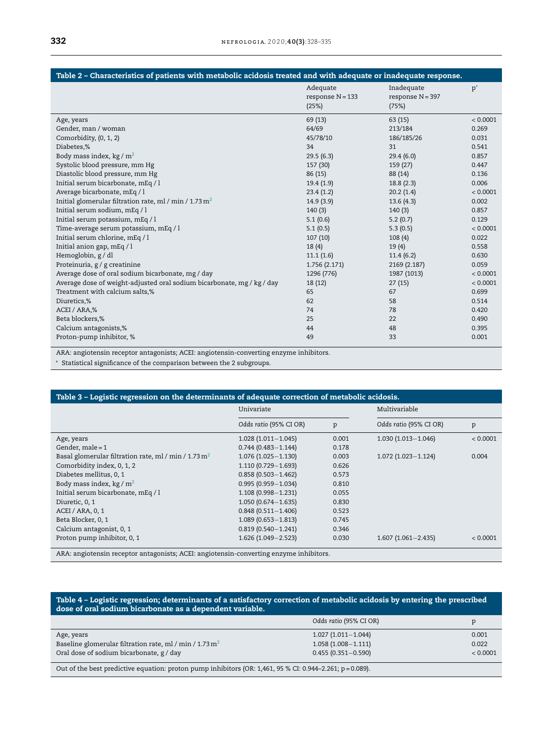<span id="page-4-0"></span>

| Table 2 - Characteristics of patients with metabolic acidosis treated and with adequate or inadequate response. |                                         |                                           |          |  |
|-----------------------------------------------------------------------------------------------------------------|-----------------------------------------|-------------------------------------------|----------|--|
|                                                                                                                 | Adequate<br>response $N = 133$<br>(25%) | Inadequate<br>response $N = 397$<br>(75%) | $p^*$    |  |
| Age, years                                                                                                      | 69 (13)                                 | 63 (15)                                   | < 0.0001 |  |
| Gender, man / woman                                                                                             | 64/69                                   | 213/184                                   | 0.269    |  |
| Comorbidity, (0, 1, 2)                                                                                          | 45/78/10                                | 186/185/26                                | 0.031    |  |
| Diabetes,%                                                                                                      | 34                                      | 31                                        | 0.541    |  |
| Body mass index, $kg/m2$                                                                                        | 29.5(6.3)                               | 29.4(6.0)                                 | 0.857    |  |
| Systolic blood pressure, mm Hg                                                                                  | 157 (30)                                | 159 (27)                                  | 0.447    |  |
| Diastolic blood pressure, mm Hg                                                                                 | 86 (15)                                 | 88 (14)                                   | 0.136    |  |
| Initial serum bicarbonate, mEq / l                                                                              | 19.4(1.9)                               | 18.8(2.3)                                 | 0.006    |  |
| Average bicarbonate, mEq / l                                                                                    | 23.4(1.2)                               | 20.2(1.4)                                 | < 0.0001 |  |
| Initial glomerular filtration rate, ml / min / 1.73 $m2$                                                        | 14.9(3.9)                               | 13.6(4.3)                                 | 0.002    |  |
| Initial serum sodium, mEq / l                                                                                   | 140(3)                                  | 140(3)                                    | 0.857    |  |
| Initial serum potassium, mEq / l                                                                                | 5.1(0.6)                                | 5.2(0.7)                                  | 0.129    |  |
| Time-average serum potassium, mEq / l                                                                           | 5.1(0.5)                                | 5.3(0.5)                                  | < 0.0001 |  |
| Initial serum chlorine, mEq / l                                                                                 | 107(10)                                 | 108(4)                                    | 0.022    |  |
| Initial anion gap, mEq / l                                                                                      | 18(4)                                   | 19(4)                                     | 0.558    |  |
| Hemoglobin, g / dl                                                                                              | 11.1(1.6)                               | 11.4(6.2)                                 | 0.630    |  |
| Proteinuria, g / g creatinine                                                                                   | 1.756 (2.171)                           | 2169 (2.187)                              | 0.059    |  |
| Average dose of oral sodium bicarbonate, mg / day                                                               | 1296 (776)                              | 1987 (1013)                               | < 0.0001 |  |
| Average dose of weight-adjusted oral sodium bicarbonate, mg / kg / day                                          | 18 (12)                                 | 27(15)                                    | < 0.0001 |  |
| Treatment with calcium salts,%                                                                                  | 65                                      | 67                                        | 0.699    |  |
| Diuretics,%                                                                                                     | 62                                      | 58                                        | 0.514    |  |
| ACEI / ARA,%                                                                                                    | 74                                      | 78                                        | 0.420    |  |
| Beta blockers,%                                                                                                 | 25                                      | 22                                        | 0.490    |  |
| Calcium antagonists,%                                                                                           | 44                                      | 48                                        | 0.395    |  |
| Proton-pump inhibitor, %                                                                                        | 49                                      | 33                                        | 0.001    |  |

ARA: angiotensin receptor antagonists; ACEI: angiotensin-converting enzyme inhibitors.

<sup>∗</sup> Statistical significance of the comparison between the 2 subgroups.

| Table 3 - Logistic regression on the determinants of adequate correction of metabolic acidosis.                                                                                                                                                                                                                          |                        |       |                        |          |  |
|--------------------------------------------------------------------------------------------------------------------------------------------------------------------------------------------------------------------------------------------------------------------------------------------------------------------------|------------------------|-------|------------------------|----------|--|
|                                                                                                                                                                                                                                                                                                                          | Univariate             |       | Multivariable          |          |  |
|                                                                                                                                                                                                                                                                                                                          | Odds ratio (95% CI OR) | p     | Odds ratio (95% CI OR) | p        |  |
| Age, years                                                                                                                                                                                                                                                                                                               | $1.028(1.011 - 1.045)$ | 0.001 | $1.030(1.013 - 1.046)$ | < 0.0001 |  |
| Gender, male $=1$                                                                                                                                                                                                                                                                                                        | $0.744(0.483 - 1.144)$ | 0.178 |                        |          |  |
| Basal glomerular filtration rate, ml / min / 1.73 $m2$                                                                                                                                                                                                                                                                   | $1.076(1.025 - 1.130)$ | 0.003 | $1.072(1.023 - 1.124)$ | 0.004    |  |
| Comorbidity index, 0, 1, 2                                                                                                                                                                                                                                                                                               | 1.110 (0.729-1.693)    | 0.626 |                        |          |  |
| Diabetes mellitus, 0, 1                                                                                                                                                                                                                                                                                                  | $0.858(0.503 - 1.462)$ | 0.573 |                        |          |  |
| Body mass index, $kg/m2$                                                                                                                                                                                                                                                                                                 | $0.995(0.959 - 1.034)$ | 0.810 |                        |          |  |
| Initial serum bicarbonate, mEq / l                                                                                                                                                                                                                                                                                       | $1.108(0.998 - 1.231)$ | 0.055 |                        |          |  |
| Diuretic, 0, 1                                                                                                                                                                                                                                                                                                           | $1.050(0.674 - 1.635)$ | 0.830 |                        |          |  |
| ACEI / ARA, 0, 1                                                                                                                                                                                                                                                                                                         | $0.848(0.511 - 1.406)$ | 0.523 |                        |          |  |
| Beta Blocker, 0, 1                                                                                                                                                                                                                                                                                                       | $1.089(0.653 - 1.813)$ | 0.745 |                        |          |  |
| Calcium antagonist, 0, 1                                                                                                                                                                                                                                                                                                 | $0.819(0.540 - 1.241)$ | 0.346 |                        |          |  |
| Proton pump inhibitor, 0, 1                                                                                                                                                                                                                                                                                              | $1.626(1.049 - 2.523)$ | 0.030 | $1.607(1.061 - 2.435)$ | < 0.0001 |  |
| $\overline{AB}$ $\overline{BC}$ , and the set of the set of the set of $\overline{BC}$ , and $\overline{BC}$ , and $\overline{BC}$ , and $\overline{BC}$ , and $\overline{BC}$ , and $\overline{BC}$ , and $\overline{BC}$ , and $\overline{BC}$ , and $\overline{BC}$ , and $\overline{BC}$ , and $\overline{BC}$ , and |                        |       |                        |          |  |

ARA: angiotensin receptor antagonists; ACEI: angiotensin-converting enzyme inhibitors.

#### Table 4 – Logistic regression; determinants of a satisfactory correction of metabolic acidosis by entering the prescribed dose of oral sodium bicarbonate as a dependent variable.

|                                                                                                              | Odds ratio (95% CI OR) | р        |  |  |
|--------------------------------------------------------------------------------------------------------------|------------------------|----------|--|--|
| Age, years                                                                                                   | $1.027(1.011 - 1.044)$ | 0.001    |  |  |
| Baseline glomerular filtration rate, ml / min / 1.73 $m2$                                                    | $1.058(1.008 - 1.111)$ | 0.022    |  |  |
| Oral dose of sodium bicarbonate, g / day                                                                     | $0.455(0.351 - 0.590)$ | < 0.0001 |  |  |
| Out of the best predictive equation: proton pump inhibitors (OR: 1,461, 95 % CI: 0.944–2.261; $p = 0.089$ ). |                        |          |  |  |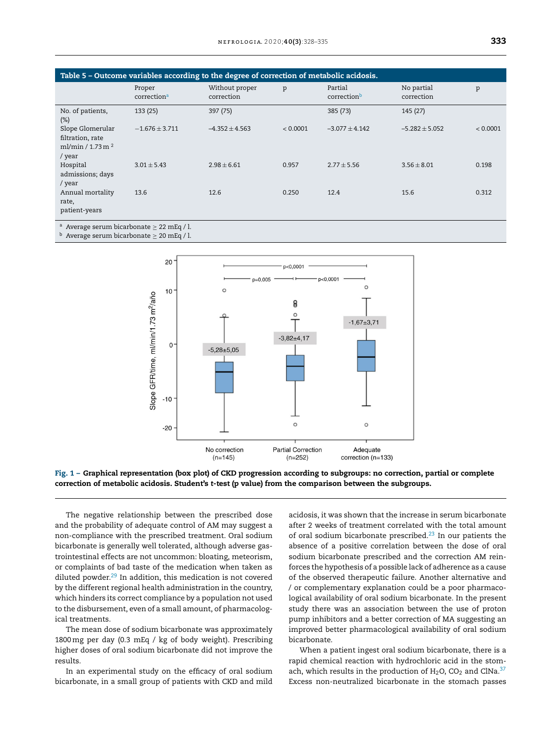<span id="page-5-0"></span>

| Table 5 - Outcome variables according to the degree of correction of metabolic acidosis.                                                                                                    |                                   |                              |          |                        |                          |          |
|---------------------------------------------------------------------------------------------------------------------------------------------------------------------------------------------|-----------------------------------|------------------------------|----------|------------------------|--------------------------|----------|
|                                                                                                                                                                                             | Proper<br>correction <sup>a</sup> | Without proper<br>correction | p        | Partial<br>correctionb | No partial<br>correction | p        |
| No. of patients,<br>$(\%)$                                                                                                                                                                  | 133(25)                           | 397 (75)                     |          | 385 (73)               | 145(27)                  |          |
| Slope Glomerular<br>filtration, rate<br>ml/min / 1.73 m $^2$<br>/ year                                                                                                                      | $-1.676 \pm 3.711$                | $-4.352 \pm 4.563$           | < 0.0001 | $-3.077 \pm 4.142$     | $-5.282 \pm 5.052$       | < 0.0001 |
| Hospital<br>admissions; days<br>/ year                                                                                                                                                      | $3.01 \pm 5.43$                   | $2.98 \pm 6.61$              | 0.957    | $2.77 \pm 5.56$        | $3.56 \pm 8.01$          | 0.198    |
| Annual mortality<br>rate,<br>patient-years                                                                                                                                                  | 13.6                              | 12.6                         | 0.250    | 12.4                   | 15.6                     | 0.312    |
| <sup>a</sup> Average serum bicarbonate $\geq$ 22 mEq / l.<br>$\mathbf{L}$ , and $\mathbf{L}$ , and $\mathbf{L}$ , and $\mathbf{L}$ , and $\mathbf{L}$ , and $\mathbf{L}$ , and $\mathbf{L}$ |                                   |                              |          |                        |                          |          |

 $<sup>b</sup>$  Average serum bicarbonate  $\geq 20$  mEq / l.</sup>





The negative relationship between the prescribed dose and the probability of adequate control of AM may suggest a non-compliance with the prescribed treatment. Oral sodium bicarbonate is generally well tolerated, although adverse gastrointestinal effects are not uncommon: bloating, meteorism, or complaints of bad taste of the medication when taken as diluted powder. $29$  In addition, this medication is not covered by the different regional health administration in the country, which hinders its correct compliance by a population not used to the disbursement, even of a small amount, of pharmacological treatments.

The mean dose of sodium bicarbonate was approximately 1800mg per day (0.3 mEq / kg of body weight). Prescribing higher doses of oral sodium bicarbonate did not improve the results.

In an experimental study on the efficacy of oral sodium bicarbonate, in a small group of patients with CKD and mild

acidosis, it was shown that the increase in serum bicarbonate after 2 weeks of treatment correlated with the total amount of oral sodium bicarbonate prescribed. $23$  In our patients the absence of a positive correlation between the dose of oral sodium bicarbonate prescribed and the correction AM reinforces the hypothesis of a possible lack of adherence as a cause of the observed therapeutic failure. Another alternative and / or complementary explanation could be a poor pharmacological availability of oral sodium bicarbonate. In the present study there was an association between the use of proton pump inhibitors and a better correction of MA suggesting an improved better pharmacological availability of oral sodium bicarbonate.

When a patient ingest oral sodium bicarbonate, there is a rapid chemical reaction with hydrochloric acid in the stomach, which results in the production of  $H_2O$ , CO<sub>2</sub> and ClNa.<sup>[37](#page-7-0)</sup> Excess non-neutralized bicarbonate in the stomach passes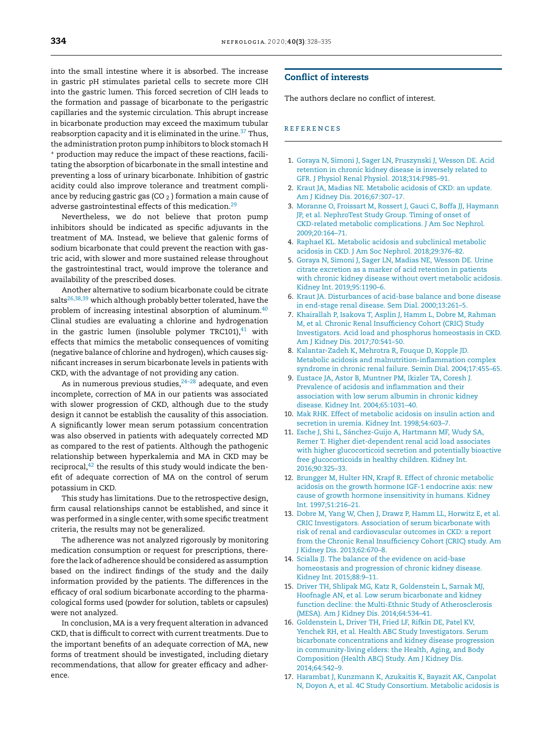<span id="page-6-0"></span>into the small intestine where it is absorbed. The increase in gastric pH stimulates parietal cells to secrete more ClH into the gastric lumen. This forced secretion of ClH leads to the formation and passage of bicarbonate to the perigastric capillaries and the systemic circulation. This abrupt increase in bicarbonate production may exceed the maximum tubular reabsorption capacity and it is eliminated in the urine.<sup>[37](#page-7-0)</sup> Thus, the administration proton pump inhibitors to block stomach H <sup>+</sup> production may reduce the impact of these reactions, facilitating the absorption of bicarbonate in the small intestine and preventing a loss of urinary bicarbonate. Inhibition of gastric acidity could also improve tolerance and treatment compliance by reducing gastric gas (CO  $_2$  ) formation a main cause of adverse gastrointestinal effects of this medication.<sup>[29](#page-7-0)</sup>

Nevertheless, we do not believe that proton pump inhibitors should be indicated as specific adjuvants in the treatment of MA. Instead, we believe that galenic forms of sodium bicarbonate that could prevent the reaction with gastric acid, with slower and more sustained release throughout the gastrointestinal tract, would improve the tolerance and availability of the prescribed doses.

Another alternative to sodium bicarbonate could be citrate salts<sup>[26,38,39](#page-7-0)</sup> which although probably better tolerated, have the problem of increasing intestinal absorption of aluminum.[40](#page-7-0) Clinal studies are evaluating a chlorine and hydrogenation in the gastric lumen (insoluble polymer TRC101), $41$  with effects that mimics the metabolic consequences of vomiting (negative balance of chlorine and hydrogen), which causes significant increases in serum bicarbonate levels in patients with CKD, with the advantage of not providing any cation.

As in numerous previous studies, $24-28$  adequate, and even incomplete, correction of MA in our patients was associated with slower progression of CKD, although due to the study design it cannot be establish the causality of this association. A significantly lower mean serum potassium concentration was also observed in patients with adequately corrected MD as compared to the rest of patients. Although the pathogenic relationship between hyperkalemia and MA in CKD may be reciprocal, $42$  the results of this study would indicate the benefit of adequate correction of MA on the control of serum potassium in CKD.

This study has limitations. Due to the retrospective design, firm causal relationships cannot be established, and since it was performed in a single center, with some specific treatment criteria, the results may not be generalized.

The adherence was not analyzed rigorously by monitoring medication consumption or request for prescriptions, therefore the lack of adherence should be considered as assumption based on the indirect findings of the study and the daily information provided by the patients. The differences in the efficacy of oral sodium bicarbonate according to the pharmacological forms used (powder for solution, tablets or capsules) were not analyzed.

In conclusion, MA is a very frequent alteration in advanced CKD, that is difficult to correct with current treatments. Due to the important benefits of an adequate correction of MA, new forms of treatment should be investigated, including dietary recommendations, that allow for greater efficacy and adherence.

### Conflict of interests

The authors declare no conflict of interest.

#### **REFERENCES**

- 1. [Goraya](http://refhub.elsevier.com/S2013-2514(20)30070-5/sbref0005) [N,](http://refhub.elsevier.com/S2013-2514(20)30070-5/sbref0005) [Simoni](http://refhub.elsevier.com/S2013-2514(20)30070-5/sbref0005) [J,](http://refhub.elsevier.com/S2013-2514(20)30070-5/sbref0005) [Sager](http://refhub.elsevier.com/S2013-2514(20)30070-5/sbref0005) [LN,](http://refhub.elsevier.com/S2013-2514(20)30070-5/sbref0005) [Pruszynski](http://refhub.elsevier.com/S2013-2514(20)30070-5/sbref0005) [J,](http://refhub.elsevier.com/S2013-2514(20)30070-5/sbref0005) [Wesson](http://refhub.elsevier.com/S2013-2514(20)30070-5/sbref0005) [DE.](http://refhub.elsevier.com/S2013-2514(20)30070-5/sbref0005) [Acid](http://refhub.elsevier.com/S2013-2514(20)30070-5/sbref0005) [retention](http://refhub.elsevier.com/S2013-2514(20)30070-5/sbref0005) [in](http://refhub.elsevier.com/S2013-2514(20)30070-5/sbref0005) [chronic](http://refhub.elsevier.com/S2013-2514(20)30070-5/sbref0005) [kidney](http://refhub.elsevier.com/S2013-2514(20)30070-5/sbref0005) [disease](http://refhub.elsevier.com/S2013-2514(20)30070-5/sbref0005) [is](http://refhub.elsevier.com/S2013-2514(20)30070-5/sbref0005) [inversely](http://refhub.elsevier.com/S2013-2514(20)30070-5/sbref0005) [related](http://refhub.elsevier.com/S2013-2514(20)30070-5/sbref0005) [to](http://refhub.elsevier.com/S2013-2514(20)30070-5/sbref0005) [GFR.](http://refhub.elsevier.com/S2013-2514(20)30070-5/sbref0005) [J](http://refhub.elsevier.com/S2013-2514(20)30070-5/sbref0005) [Physiol](http://refhub.elsevier.com/S2013-2514(20)30070-5/sbref0005) [Renal](http://refhub.elsevier.com/S2013-2514(20)30070-5/sbref0005) [Physiol.](http://refhub.elsevier.com/S2013-2514(20)30070-5/sbref0005) [2018;314:F985](http://refhub.elsevier.com/S2013-2514(20)30070-5/sbref0005)–[91.](http://refhub.elsevier.com/S2013-2514(20)30070-5/sbref0005)
- 2. [Kraut](http://refhub.elsevier.com/S2013-2514(20)30070-5/sbref0010) [JA,](http://refhub.elsevier.com/S2013-2514(20)30070-5/sbref0010) [Madias](http://refhub.elsevier.com/S2013-2514(20)30070-5/sbref0010) [NE.](http://refhub.elsevier.com/S2013-2514(20)30070-5/sbref0010) [Metabolic](http://refhub.elsevier.com/S2013-2514(20)30070-5/sbref0010) [acidosis](http://refhub.elsevier.com/S2013-2514(20)30070-5/sbref0010) [of](http://refhub.elsevier.com/S2013-2514(20)30070-5/sbref0010) [CKD:](http://refhub.elsevier.com/S2013-2514(20)30070-5/sbref0010) [an](http://refhub.elsevier.com/S2013-2514(20)30070-5/sbref0010) [update.](http://refhub.elsevier.com/S2013-2514(20)30070-5/sbref0010) [Am](http://refhub.elsevier.com/S2013-2514(20)30070-5/sbref0010) [J](http://refhub.elsevier.com/S2013-2514(20)30070-5/sbref0010) [Kidney](http://refhub.elsevier.com/S2013-2514(20)30070-5/sbref0010) [Dis.](http://refhub.elsevier.com/S2013-2514(20)30070-5/sbref0010) [2016;67:307](http://refhub.elsevier.com/S2013-2514(20)30070-5/sbref0010)–[17.](http://refhub.elsevier.com/S2013-2514(20)30070-5/sbref0010)
- 3. [Moranne](http://refhub.elsevier.com/S2013-2514(20)30070-5/sbref0015) [O,](http://refhub.elsevier.com/S2013-2514(20)30070-5/sbref0015) [Froissart](http://refhub.elsevier.com/S2013-2514(20)30070-5/sbref0015) [M,](http://refhub.elsevier.com/S2013-2514(20)30070-5/sbref0015) [Rossert](http://refhub.elsevier.com/S2013-2514(20)30070-5/sbref0015) [J,](http://refhub.elsevier.com/S2013-2514(20)30070-5/sbref0015) [Gauci](http://refhub.elsevier.com/S2013-2514(20)30070-5/sbref0015) [C,](http://refhub.elsevier.com/S2013-2514(20)30070-5/sbref0015) [Boffa](http://refhub.elsevier.com/S2013-2514(20)30070-5/sbref0015) [JJ,](http://refhub.elsevier.com/S2013-2514(20)30070-5/sbref0015) [Haymann](http://refhub.elsevier.com/S2013-2514(20)30070-5/sbref0015) [JP,](http://refhub.elsevier.com/S2013-2514(20)30070-5/sbref0015) [et](http://refhub.elsevier.com/S2013-2514(20)30070-5/sbref0015) [al.](http://refhub.elsevier.com/S2013-2514(20)30070-5/sbref0015) [NephroTest](http://refhub.elsevier.com/S2013-2514(20)30070-5/sbref0015) [Study](http://refhub.elsevier.com/S2013-2514(20)30070-5/sbref0015) [Group.](http://refhub.elsevier.com/S2013-2514(20)30070-5/sbref0015) [Timing](http://refhub.elsevier.com/S2013-2514(20)30070-5/sbref0015) [of](http://refhub.elsevier.com/S2013-2514(20)30070-5/sbref0015) [onset](http://refhub.elsevier.com/S2013-2514(20)30070-5/sbref0015) [of](http://refhub.elsevier.com/S2013-2514(20)30070-5/sbref0015) [CKD-related](http://refhub.elsevier.com/S2013-2514(20)30070-5/sbref0015) [metabolic](http://refhub.elsevier.com/S2013-2514(20)30070-5/sbref0015) [complications.](http://refhub.elsevier.com/S2013-2514(20)30070-5/sbref0015) [J](http://refhub.elsevier.com/S2013-2514(20)30070-5/sbref0015) [Am](http://refhub.elsevier.com/S2013-2514(20)30070-5/sbref0015) [Soc](http://refhub.elsevier.com/S2013-2514(20)30070-5/sbref0015) [Nephrol.](http://refhub.elsevier.com/S2013-2514(20)30070-5/sbref0015) [2009;20:164](http://refhub.elsevier.com/S2013-2514(20)30070-5/sbref0015)–[71.](http://refhub.elsevier.com/S2013-2514(20)30070-5/sbref0015)
- 4. [Raphael](http://refhub.elsevier.com/S2013-2514(20)30070-5/sbref0020) [KL.](http://refhub.elsevier.com/S2013-2514(20)30070-5/sbref0020) [Metabolic](http://refhub.elsevier.com/S2013-2514(20)30070-5/sbref0020) [acidosis](http://refhub.elsevier.com/S2013-2514(20)30070-5/sbref0020) [and](http://refhub.elsevier.com/S2013-2514(20)30070-5/sbref0020) [subclinical](http://refhub.elsevier.com/S2013-2514(20)30070-5/sbref0020) [metabolic](http://refhub.elsevier.com/S2013-2514(20)30070-5/sbref0020) [acidosis](http://refhub.elsevier.com/S2013-2514(20)30070-5/sbref0020) [in](http://refhub.elsevier.com/S2013-2514(20)30070-5/sbref0020) [CKD.](http://refhub.elsevier.com/S2013-2514(20)30070-5/sbref0020) [J](http://refhub.elsevier.com/S2013-2514(20)30070-5/sbref0020) [Am](http://refhub.elsevier.com/S2013-2514(20)30070-5/sbref0020) [Soc](http://refhub.elsevier.com/S2013-2514(20)30070-5/sbref0020) [Nephrol.](http://refhub.elsevier.com/S2013-2514(20)30070-5/sbref0020) [2018;29:376–82.](http://refhub.elsevier.com/S2013-2514(20)30070-5/sbref0020)
- 5. [Goraya](http://refhub.elsevier.com/S2013-2514(20)30070-5/sbref0025) [N,](http://refhub.elsevier.com/S2013-2514(20)30070-5/sbref0025) [Simoni](http://refhub.elsevier.com/S2013-2514(20)30070-5/sbref0025) [J,](http://refhub.elsevier.com/S2013-2514(20)30070-5/sbref0025) [Sager](http://refhub.elsevier.com/S2013-2514(20)30070-5/sbref0025) [LN,](http://refhub.elsevier.com/S2013-2514(20)30070-5/sbref0025) [Madias](http://refhub.elsevier.com/S2013-2514(20)30070-5/sbref0025) [NE,](http://refhub.elsevier.com/S2013-2514(20)30070-5/sbref0025) [Wesson](http://refhub.elsevier.com/S2013-2514(20)30070-5/sbref0025) [DE.](http://refhub.elsevier.com/S2013-2514(20)30070-5/sbref0025) [Urine](http://refhub.elsevier.com/S2013-2514(20)30070-5/sbref0025) [citrate](http://refhub.elsevier.com/S2013-2514(20)30070-5/sbref0025) [excretion](http://refhub.elsevier.com/S2013-2514(20)30070-5/sbref0025) [as](http://refhub.elsevier.com/S2013-2514(20)30070-5/sbref0025) [a](http://refhub.elsevier.com/S2013-2514(20)30070-5/sbref0025) [marker](http://refhub.elsevier.com/S2013-2514(20)30070-5/sbref0025) [of](http://refhub.elsevier.com/S2013-2514(20)30070-5/sbref0025) [acid](http://refhub.elsevier.com/S2013-2514(20)30070-5/sbref0025) [retention](http://refhub.elsevier.com/S2013-2514(20)30070-5/sbref0025) [in](http://refhub.elsevier.com/S2013-2514(20)30070-5/sbref0025) [patients](http://refhub.elsevier.com/S2013-2514(20)30070-5/sbref0025) [with](http://refhub.elsevier.com/S2013-2514(20)30070-5/sbref0025) [chronic](http://refhub.elsevier.com/S2013-2514(20)30070-5/sbref0025) [kidney](http://refhub.elsevier.com/S2013-2514(20)30070-5/sbref0025) [disease](http://refhub.elsevier.com/S2013-2514(20)30070-5/sbref0025) [without](http://refhub.elsevier.com/S2013-2514(20)30070-5/sbref0025) [overt](http://refhub.elsevier.com/S2013-2514(20)30070-5/sbref0025) [metabolic](http://refhub.elsevier.com/S2013-2514(20)30070-5/sbref0025) [acidosis.](http://refhub.elsevier.com/S2013-2514(20)30070-5/sbref0025) [Kidney](http://refhub.elsevier.com/S2013-2514(20)30070-5/sbref0025) [Int.](http://refhub.elsevier.com/S2013-2514(20)30070-5/sbref0025) [2019;95:1190–6.](http://refhub.elsevier.com/S2013-2514(20)30070-5/sbref0025)
- 6. [Kraut](http://refhub.elsevier.com/S2013-2514(20)30070-5/sbref0030) [JA.](http://refhub.elsevier.com/S2013-2514(20)30070-5/sbref0030) [Disturbances](http://refhub.elsevier.com/S2013-2514(20)30070-5/sbref0030) [of](http://refhub.elsevier.com/S2013-2514(20)30070-5/sbref0030) [acid-base](http://refhub.elsevier.com/S2013-2514(20)30070-5/sbref0030) [balance](http://refhub.elsevier.com/S2013-2514(20)30070-5/sbref0030) [and](http://refhub.elsevier.com/S2013-2514(20)30070-5/sbref0030) [bone](http://refhub.elsevier.com/S2013-2514(20)30070-5/sbref0030) [disease](http://refhub.elsevier.com/S2013-2514(20)30070-5/sbref0030) [in](http://refhub.elsevier.com/S2013-2514(20)30070-5/sbref0030) [end-stage](http://refhub.elsevier.com/S2013-2514(20)30070-5/sbref0030) [renal](http://refhub.elsevier.com/S2013-2514(20)30070-5/sbref0030) [disease.](http://refhub.elsevier.com/S2013-2514(20)30070-5/sbref0030) [Sem](http://refhub.elsevier.com/S2013-2514(20)30070-5/sbref0030) [Dial.](http://refhub.elsevier.com/S2013-2514(20)30070-5/sbref0030) [2000;13:261–5.](http://refhub.elsevier.com/S2013-2514(20)30070-5/sbref0030)
- 7. [Khairallah](http://refhub.elsevier.com/S2013-2514(20)30070-5/sbref0035) [P,](http://refhub.elsevier.com/S2013-2514(20)30070-5/sbref0035) [Isakova](http://refhub.elsevier.com/S2013-2514(20)30070-5/sbref0035) [T,](http://refhub.elsevier.com/S2013-2514(20)30070-5/sbref0035) [Asplin](http://refhub.elsevier.com/S2013-2514(20)30070-5/sbref0035) [J,](http://refhub.elsevier.com/S2013-2514(20)30070-5/sbref0035) [Hamm](http://refhub.elsevier.com/S2013-2514(20)30070-5/sbref0035) [L,](http://refhub.elsevier.com/S2013-2514(20)30070-5/sbref0035) [Dobre](http://refhub.elsevier.com/S2013-2514(20)30070-5/sbref0035) [M,](http://refhub.elsevier.com/S2013-2514(20)30070-5/sbref0035) [Rahman](http://refhub.elsevier.com/S2013-2514(20)30070-5/sbref0035) [M,](http://refhub.elsevier.com/S2013-2514(20)30070-5/sbref0035) [et](http://refhub.elsevier.com/S2013-2514(20)30070-5/sbref0035) [al.](http://refhub.elsevier.com/S2013-2514(20)30070-5/sbref0035) [Chronic](http://refhub.elsevier.com/S2013-2514(20)30070-5/sbref0035) [Renal](http://refhub.elsevier.com/S2013-2514(20)30070-5/sbref0035) [Insufficiency](http://refhub.elsevier.com/S2013-2514(20)30070-5/sbref0035) [Cohort](http://refhub.elsevier.com/S2013-2514(20)30070-5/sbref0035) [\(CRIC\)](http://refhub.elsevier.com/S2013-2514(20)30070-5/sbref0035) [Study](http://refhub.elsevier.com/S2013-2514(20)30070-5/sbref0035) [Investigators.](http://refhub.elsevier.com/S2013-2514(20)30070-5/sbref0035) [Acid](http://refhub.elsevier.com/S2013-2514(20)30070-5/sbref0035) [load](http://refhub.elsevier.com/S2013-2514(20)30070-5/sbref0035) [and](http://refhub.elsevier.com/S2013-2514(20)30070-5/sbref0035) [phosphorus](http://refhub.elsevier.com/S2013-2514(20)30070-5/sbref0035) [homeostasis](http://refhub.elsevier.com/S2013-2514(20)30070-5/sbref0035) [in](http://refhub.elsevier.com/S2013-2514(20)30070-5/sbref0035) [CKD.](http://refhub.elsevier.com/S2013-2514(20)30070-5/sbref0035) [Am](http://refhub.elsevier.com/S2013-2514(20)30070-5/sbref0035) [J](http://refhub.elsevier.com/S2013-2514(20)30070-5/sbref0035) [Kidney](http://refhub.elsevier.com/S2013-2514(20)30070-5/sbref0035) [Dis.](http://refhub.elsevier.com/S2013-2514(20)30070-5/sbref0035) [2017;70:541–50.](http://refhub.elsevier.com/S2013-2514(20)30070-5/sbref0035)
- 8. [Kalantar-Zadeh](http://refhub.elsevier.com/S2013-2514(20)30070-5/sbref0040) [K,](http://refhub.elsevier.com/S2013-2514(20)30070-5/sbref0040) [Mehrotra](http://refhub.elsevier.com/S2013-2514(20)30070-5/sbref0040) [R,](http://refhub.elsevier.com/S2013-2514(20)30070-5/sbref0040) [Fouque](http://refhub.elsevier.com/S2013-2514(20)30070-5/sbref0040) [D,](http://refhub.elsevier.com/S2013-2514(20)30070-5/sbref0040) [Kopple](http://refhub.elsevier.com/S2013-2514(20)30070-5/sbref0040) [JD.](http://refhub.elsevier.com/S2013-2514(20)30070-5/sbref0040) [Metabolic](http://refhub.elsevier.com/S2013-2514(20)30070-5/sbref0040) [acidosis](http://refhub.elsevier.com/S2013-2514(20)30070-5/sbref0040) [and](http://refhub.elsevier.com/S2013-2514(20)30070-5/sbref0040) [malnutrition-inflammation](http://refhub.elsevier.com/S2013-2514(20)30070-5/sbref0040) [complex](http://refhub.elsevier.com/S2013-2514(20)30070-5/sbref0040) [syndrome](http://refhub.elsevier.com/S2013-2514(20)30070-5/sbref0040) [in](http://refhub.elsevier.com/S2013-2514(20)30070-5/sbref0040) [chronic](http://refhub.elsevier.com/S2013-2514(20)30070-5/sbref0040) [renal](http://refhub.elsevier.com/S2013-2514(20)30070-5/sbref0040) [failure.](http://refhub.elsevier.com/S2013-2514(20)30070-5/sbref0040) [Semin](http://refhub.elsevier.com/S2013-2514(20)30070-5/sbref0040) [Dial.](http://refhub.elsevier.com/S2013-2514(20)30070-5/sbref0040) [2004;17:455–65.](http://refhub.elsevier.com/S2013-2514(20)30070-5/sbref0040)
- 9. [Eustace](http://refhub.elsevier.com/S2013-2514(20)30070-5/sbref0045) [JA,](http://refhub.elsevier.com/S2013-2514(20)30070-5/sbref0045) [Astor](http://refhub.elsevier.com/S2013-2514(20)30070-5/sbref0045) [B,](http://refhub.elsevier.com/S2013-2514(20)30070-5/sbref0045) [Muntner](http://refhub.elsevier.com/S2013-2514(20)30070-5/sbref0045) [PM,](http://refhub.elsevier.com/S2013-2514(20)30070-5/sbref0045) [Ikizler](http://refhub.elsevier.com/S2013-2514(20)30070-5/sbref0045) [TA,](http://refhub.elsevier.com/S2013-2514(20)30070-5/sbref0045) [Coresh](http://refhub.elsevier.com/S2013-2514(20)30070-5/sbref0045) [J.](http://refhub.elsevier.com/S2013-2514(20)30070-5/sbref0045) [Prevalence](http://refhub.elsevier.com/S2013-2514(20)30070-5/sbref0045) [of](http://refhub.elsevier.com/S2013-2514(20)30070-5/sbref0045) [acidosis](http://refhub.elsevier.com/S2013-2514(20)30070-5/sbref0045) [and](http://refhub.elsevier.com/S2013-2514(20)30070-5/sbref0045) [inflammation](http://refhub.elsevier.com/S2013-2514(20)30070-5/sbref0045) [and](http://refhub.elsevier.com/S2013-2514(20)30070-5/sbref0045) [their](http://refhub.elsevier.com/S2013-2514(20)30070-5/sbref0045) [association](http://refhub.elsevier.com/S2013-2514(20)30070-5/sbref0045) [with](http://refhub.elsevier.com/S2013-2514(20)30070-5/sbref0045) [low](http://refhub.elsevier.com/S2013-2514(20)30070-5/sbref0045) [serum](http://refhub.elsevier.com/S2013-2514(20)30070-5/sbref0045) [albumin](http://refhub.elsevier.com/S2013-2514(20)30070-5/sbref0045) [in](http://refhub.elsevier.com/S2013-2514(20)30070-5/sbref0045) [chronic](http://refhub.elsevier.com/S2013-2514(20)30070-5/sbref0045) [kidney](http://refhub.elsevier.com/S2013-2514(20)30070-5/sbref0045) [disease.](http://refhub.elsevier.com/S2013-2514(20)30070-5/sbref0045) [Kidney](http://refhub.elsevier.com/S2013-2514(20)30070-5/sbref0045) [Int.](http://refhub.elsevier.com/S2013-2514(20)30070-5/sbref0045) [2004;65:1031–40.](http://refhub.elsevier.com/S2013-2514(20)30070-5/sbref0045)
- 10. [Mak](http://refhub.elsevier.com/S2013-2514(20)30070-5/sbref0050) [RHK.](http://refhub.elsevier.com/S2013-2514(20)30070-5/sbref0050) [Effect](http://refhub.elsevier.com/S2013-2514(20)30070-5/sbref0050) [of](http://refhub.elsevier.com/S2013-2514(20)30070-5/sbref0050) [metabolic](http://refhub.elsevier.com/S2013-2514(20)30070-5/sbref0050) [acidosis](http://refhub.elsevier.com/S2013-2514(20)30070-5/sbref0050) [on](http://refhub.elsevier.com/S2013-2514(20)30070-5/sbref0050) [insulin](http://refhub.elsevier.com/S2013-2514(20)30070-5/sbref0050) [action](http://refhub.elsevier.com/S2013-2514(20)30070-5/sbref0050) [and](http://refhub.elsevier.com/S2013-2514(20)30070-5/sbref0050) [secretion](http://refhub.elsevier.com/S2013-2514(20)30070-5/sbref0050) [in](http://refhub.elsevier.com/S2013-2514(20)30070-5/sbref0050) [uremia.](http://refhub.elsevier.com/S2013-2514(20)30070-5/sbref0050) [Kidney](http://refhub.elsevier.com/S2013-2514(20)30070-5/sbref0050) [Int.](http://refhub.elsevier.com/S2013-2514(20)30070-5/sbref0050) [1998;54:603](http://refhub.elsevier.com/S2013-2514(20)30070-5/sbref0050)–[7.](http://refhub.elsevier.com/S2013-2514(20)30070-5/sbref0050)
- 11. [Esche](http://refhub.elsevier.com/S2013-2514(20)30070-5/sbref0055) [J,](http://refhub.elsevier.com/S2013-2514(20)30070-5/sbref0055) [Shi](http://refhub.elsevier.com/S2013-2514(20)30070-5/sbref0055) [L,](http://refhub.elsevier.com/S2013-2514(20)30070-5/sbref0055) [Sánchez-Guijo](http://refhub.elsevier.com/S2013-2514(20)30070-5/sbref0055) [A,](http://refhub.elsevier.com/S2013-2514(20)30070-5/sbref0055) [Hartmann](http://refhub.elsevier.com/S2013-2514(20)30070-5/sbref0055) [MF,](http://refhub.elsevier.com/S2013-2514(20)30070-5/sbref0055) [Wudy](http://refhub.elsevier.com/S2013-2514(20)30070-5/sbref0055) [SA,](http://refhub.elsevier.com/S2013-2514(20)30070-5/sbref0055) [Remer](http://refhub.elsevier.com/S2013-2514(20)30070-5/sbref0055) [T.](http://refhub.elsevier.com/S2013-2514(20)30070-5/sbref0055) [Higher](http://refhub.elsevier.com/S2013-2514(20)30070-5/sbref0055) [diet-dependent](http://refhub.elsevier.com/S2013-2514(20)30070-5/sbref0055) [renal](http://refhub.elsevier.com/S2013-2514(20)30070-5/sbref0055) [acid](http://refhub.elsevier.com/S2013-2514(20)30070-5/sbref0055) [load](http://refhub.elsevier.com/S2013-2514(20)30070-5/sbref0055) [associates](http://refhub.elsevier.com/S2013-2514(20)30070-5/sbref0055) [with](http://refhub.elsevier.com/S2013-2514(20)30070-5/sbref0055) [higher](http://refhub.elsevier.com/S2013-2514(20)30070-5/sbref0055) [glucocorticoid](http://refhub.elsevier.com/S2013-2514(20)30070-5/sbref0055) [secretion](http://refhub.elsevier.com/S2013-2514(20)30070-5/sbref0055) [and](http://refhub.elsevier.com/S2013-2514(20)30070-5/sbref0055) [potentially](http://refhub.elsevier.com/S2013-2514(20)30070-5/sbref0055) [bioactive](http://refhub.elsevier.com/S2013-2514(20)30070-5/sbref0055) [free](http://refhub.elsevier.com/S2013-2514(20)30070-5/sbref0055) [glucocorticoids](http://refhub.elsevier.com/S2013-2514(20)30070-5/sbref0055) [in](http://refhub.elsevier.com/S2013-2514(20)30070-5/sbref0055) [healthy](http://refhub.elsevier.com/S2013-2514(20)30070-5/sbref0055) [children.](http://refhub.elsevier.com/S2013-2514(20)30070-5/sbref0055) [Kidney](http://refhub.elsevier.com/S2013-2514(20)30070-5/sbref0055) [Int.](http://refhub.elsevier.com/S2013-2514(20)30070-5/sbref0055) [2016;90:325](http://refhub.elsevier.com/S2013-2514(20)30070-5/sbref0055)–[33.](http://refhub.elsevier.com/S2013-2514(20)30070-5/sbref0055)
- 12. [Brungger](http://refhub.elsevier.com/S2013-2514(20)30070-5/sbref0060) [M,](http://refhub.elsevier.com/S2013-2514(20)30070-5/sbref0060) [Hulter](http://refhub.elsevier.com/S2013-2514(20)30070-5/sbref0060) [HN,](http://refhub.elsevier.com/S2013-2514(20)30070-5/sbref0060) [Krapf](http://refhub.elsevier.com/S2013-2514(20)30070-5/sbref0060) [R.](http://refhub.elsevier.com/S2013-2514(20)30070-5/sbref0060) [Effect](http://refhub.elsevier.com/S2013-2514(20)30070-5/sbref0060) [of](http://refhub.elsevier.com/S2013-2514(20)30070-5/sbref0060) [chronic](http://refhub.elsevier.com/S2013-2514(20)30070-5/sbref0060) [metabolic](http://refhub.elsevier.com/S2013-2514(20)30070-5/sbref0060) [acidosis](http://refhub.elsevier.com/S2013-2514(20)30070-5/sbref0060) [on](http://refhub.elsevier.com/S2013-2514(20)30070-5/sbref0060) [the](http://refhub.elsevier.com/S2013-2514(20)30070-5/sbref0060) [growth](http://refhub.elsevier.com/S2013-2514(20)30070-5/sbref0060) [hormone](http://refhub.elsevier.com/S2013-2514(20)30070-5/sbref0060) [IGF-1](http://refhub.elsevier.com/S2013-2514(20)30070-5/sbref0060) [endocrine](http://refhub.elsevier.com/S2013-2514(20)30070-5/sbref0060) [axis:](http://refhub.elsevier.com/S2013-2514(20)30070-5/sbref0060) [new](http://refhub.elsevier.com/S2013-2514(20)30070-5/sbref0060) [cause](http://refhub.elsevier.com/S2013-2514(20)30070-5/sbref0060) [of](http://refhub.elsevier.com/S2013-2514(20)30070-5/sbref0060) [growth](http://refhub.elsevier.com/S2013-2514(20)30070-5/sbref0060) [hormone](http://refhub.elsevier.com/S2013-2514(20)30070-5/sbref0060) [insensitivity](http://refhub.elsevier.com/S2013-2514(20)30070-5/sbref0060) [in](http://refhub.elsevier.com/S2013-2514(20)30070-5/sbref0060) [humans.](http://refhub.elsevier.com/S2013-2514(20)30070-5/sbref0060) [Kidney](http://refhub.elsevier.com/S2013-2514(20)30070-5/sbref0060) [Int.](http://refhub.elsevier.com/S2013-2514(20)30070-5/sbref0060) [1997;51:216–21.](http://refhub.elsevier.com/S2013-2514(20)30070-5/sbref0060)
- 13. [Dobre](http://refhub.elsevier.com/S2013-2514(20)30070-5/sbref0065) [M,](http://refhub.elsevier.com/S2013-2514(20)30070-5/sbref0065) [Yang](http://refhub.elsevier.com/S2013-2514(20)30070-5/sbref0065) [W,](http://refhub.elsevier.com/S2013-2514(20)30070-5/sbref0065) [Chen](http://refhub.elsevier.com/S2013-2514(20)30070-5/sbref0065) [J,](http://refhub.elsevier.com/S2013-2514(20)30070-5/sbref0065) [Drawz](http://refhub.elsevier.com/S2013-2514(20)30070-5/sbref0065) [P,](http://refhub.elsevier.com/S2013-2514(20)30070-5/sbref0065) [Hamm](http://refhub.elsevier.com/S2013-2514(20)30070-5/sbref0065) [LL,](http://refhub.elsevier.com/S2013-2514(20)30070-5/sbref0065) [Horwitz](http://refhub.elsevier.com/S2013-2514(20)30070-5/sbref0065) [E,](http://refhub.elsevier.com/S2013-2514(20)30070-5/sbref0065) [et](http://refhub.elsevier.com/S2013-2514(20)30070-5/sbref0065) [al.](http://refhub.elsevier.com/S2013-2514(20)30070-5/sbref0065) [CRIC](http://refhub.elsevier.com/S2013-2514(20)30070-5/sbref0065) [Investigators.](http://refhub.elsevier.com/S2013-2514(20)30070-5/sbref0065) [Association](http://refhub.elsevier.com/S2013-2514(20)30070-5/sbref0065) [of](http://refhub.elsevier.com/S2013-2514(20)30070-5/sbref0065) [serum](http://refhub.elsevier.com/S2013-2514(20)30070-5/sbref0065) [bicarbonate](http://refhub.elsevier.com/S2013-2514(20)30070-5/sbref0065) [with](http://refhub.elsevier.com/S2013-2514(20)30070-5/sbref0065) [risk](http://refhub.elsevier.com/S2013-2514(20)30070-5/sbref0065) [of](http://refhub.elsevier.com/S2013-2514(20)30070-5/sbref0065) [renal](http://refhub.elsevier.com/S2013-2514(20)30070-5/sbref0065) [and](http://refhub.elsevier.com/S2013-2514(20)30070-5/sbref0065) [cardiovascular](http://refhub.elsevier.com/S2013-2514(20)30070-5/sbref0065) [outcomes](http://refhub.elsevier.com/S2013-2514(20)30070-5/sbref0065) [in](http://refhub.elsevier.com/S2013-2514(20)30070-5/sbref0065) [CKD:](http://refhub.elsevier.com/S2013-2514(20)30070-5/sbref0065) [a](http://refhub.elsevier.com/S2013-2514(20)30070-5/sbref0065) [report](http://refhub.elsevier.com/S2013-2514(20)30070-5/sbref0065) [from](http://refhub.elsevier.com/S2013-2514(20)30070-5/sbref0065) [the](http://refhub.elsevier.com/S2013-2514(20)30070-5/sbref0065) [Chronic](http://refhub.elsevier.com/S2013-2514(20)30070-5/sbref0065) [Renal](http://refhub.elsevier.com/S2013-2514(20)30070-5/sbref0065) [Insufficiency](http://refhub.elsevier.com/S2013-2514(20)30070-5/sbref0065) [Cohort](http://refhub.elsevier.com/S2013-2514(20)30070-5/sbref0065) [\(CRIC\)](http://refhub.elsevier.com/S2013-2514(20)30070-5/sbref0065) [study.](http://refhub.elsevier.com/S2013-2514(20)30070-5/sbref0065) [Am](http://refhub.elsevier.com/S2013-2514(20)30070-5/sbref0065) [J](http://refhub.elsevier.com/S2013-2514(20)30070-5/sbref0065) [Kidney](http://refhub.elsevier.com/S2013-2514(20)30070-5/sbref0065) [Dis.](http://refhub.elsevier.com/S2013-2514(20)30070-5/sbref0065) [2013;62:670–8.](http://refhub.elsevier.com/S2013-2514(20)30070-5/sbref0065)
- 14. [Scialla](http://refhub.elsevier.com/S2013-2514(20)30070-5/sbref0070) [JJ.](http://refhub.elsevier.com/S2013-2514(20)30070-5/sbref0070) [The](http://refhub.elsevier.com/S2013-2514(20)30070-5/sbref0070) [balance](http://refhub.elsevier.com/S2013-2514(20)30070-5/sbref0070) [of](http://refhub.elsevier.com/S2013-2514(20)30070-5/sbref0070) [the](http://refhub.elsevier.com/S2013-2514(20)30070-5/sbref0070) [evidence](http://refhub.elsevier.com/S2013-2514(20)30070-5/sbref0070) [on](http://refhub.elsevier.com/S2013-2514(20)30070-5/sbref0070) [acid-base](http://refhub.elsevier.com/S2013-2514(20)30070-5/sbref0070) [homeostasis](http://refhub.elsevier.com/S2013-2514(20)30070-5/sbref0070) [and](http://refhub.elsevier.com/S2013-2514(20)30070-5/sbref0070) [progression](http://refhub.elsevier.com/S2013-2514(20)30070-5/sbref0070) [of](http://refhub.elsevier.com/S2013-2514(20)30070-5/sbref0070) [chronic](http://refhub.elsevier.com/S2013-2514(20)30070-5/sbref0070) [kidney](http://refhub.elsevier.com/S2013-2514(20)30070-5/sbref0070) [disease.](http://refhub.elsevier.com/S2013-2514(20)30070-5/sbref0070) [Kidney](http://refhub.elsevier.com/S2013-2514(20)30070-5/sbref0070) [Int.](http://refhub.elsevier.com/S2013-2514(20)30070-5/sbref0070) [2015;88:9–11.](http://refhub.elsevier.com/S2013-2514(20)30070-5/sbref0070)
- 15. [Driver](http://refhub.elsevier.com/S2013-2514(20)30070-5/sbref0075) [TH,](http://refhub.elsevier.com/S2013-2514(20)30070-5/sbref0075) [Shlipak](http://refhub.elsevier.com/S2013-2514(20)30070-5/sbref0075) [MG,](http://refhub.elsevier.com/S2013-2514(20)30070-5/sbref0075) [Katz](http://refhub.elsevier.com/S2013-2514(20)30070-5/sbref0075) [R,](http://refhub.elsevier.com/S2013-2514(20)30070-5/sbref0075) [Goldenstein](http://refhub.elsevier.com/S2013-2514(20)30070-5/sbref0075) [L,](http://refhub.elsevier.com/S2013-2514(20)30070-5/sbref0075) [Sarnak](http://refhub.elsevier.com/S2013-2514(20)30070-5/sbref0075) [MJ,](http://refhub.elsevier.com/S2013-2514(20)30070-5/sbref0075) [Hoofnagle](http://refhub.elsevier.com/S2013-2514(20)30070-5/sbref0075) [AN,](http://refhub.elsevier.com/S2013-2514(20)30070-5/sbref0075) [et](http://refhub.elsevier.com/S2013-2514(20)30070-5/sbref0075) [al.](http://refhub.elsevier.com/S2013-2514(20)30070-5/sbref0075) [Low](http://refhub.elsevier.com/S2013-2514(20)30070-5/sbref0075) [serum](http://refhub.elsevier.com/S2013-2514(20)30070-5/sbref0075) [bicarbonate](http://refhub.elsevier.com/S2013-2514(20)30070-5/sbref0075) [and](http://refhub.elsevier.com/S2013-2514(20)30070-5/sbref0075) [kidney](http://refhub.elsevier.com/S2013-2514(20)30070-5/sbref0075) [function](http://refhub.elsevier.com/S2013-2514(20)30070-5/sbref0075) [decline:](http://refhub.elsevier.com/S2013-2514(20)30070-5/sbref0075) [the](http://refhub.elsevier.com/S2013-2514(20)30070-5/sbref0075) [Multi-Ethnic](http://refhub.elsevier.com/S2013-2514(20)30070-5/sbref0075) [Study](http://refhub.elsevier.com/S2013-2514(20)30070-5/sbref0075) [of](http://refhub.elsevier.com/S2013-2514(20)30070-5/sbref0075) [Atherosclerosis](http://refhub.elsevier.com/S2013-2514(20)30070-5/sbref0075) [\(MESA\).](http://refhub.elsevier.com/S2013-2514(20)30070-5/sbref0075) [Am](http://refhub.elsevier.com/S2013-2514(20)30070-5/sbref0075) [J](http://refhub.elsevier.com/S2013-2514(20)30070-5/sbref0075) [Kidney](http://refhub.elsevier.com/S2013-2514(20)30070-5/sbref0075) [Dis.](http://refhub.elsevier.com/S2013-2514(20)30070-5/sbref0075) [2014;64:534–41.](http://refhub.elsevier.com/S2013-2514(20)30070-5/sbref0075)
- 16. [Goldenstein](http://refhub.elsevier.com/S2013-2514(20)30070-5/sbref0080) [L,](http://refhub.elsevier.com/S2013-2514(20)30070-5/sbref0080) [Driver](http://refhub.elsevier.com/S2013-2514(20)30070-5/sbref0080) [TH,](http://refhub.elsevier.com/S2013-2514(20)30070-5/sbref0080) [Fried](http://refhub.elsevier.com/S2013-2514(20)30070-5/sbref0080) [LF,](http://refhub.elsevier.com/S2013-2514(20)30070-5/sbref0080) [Rifkin](http://refhub.elsevier.com/S2013-2514(20)30070-5/sbref0080) [DE,](http://refhub.elsevier.com/S2013-2514(20)30070-5/sbref0080) [Patel](http://refhub.elsevier.com/S2013-2514(20)30070-5/sbref0080) [KV,](http://refhub.elsevier.com/S2013-2514(20)30070-5/sbref0080) [Yenchek](http://refhub.elsevier.com/S2013-2514(20)30070-5/sbref0080) [RH,](http://refhub.elsevier.com/S2013-2514(20)30070-5/sbref0080) [et](http://refhub.elsevier.com/S2013-2514(20)30070-5/sbref0080) [al.](http://refhub.elsevier.com/S2013-2514(20)30070-5/sbref0080) [Health](http://refhub.elsevier.com/S2013-2514(20)30070-5/sbref0080) [ABC](http://refhub.elsevier.com/S2013-2514(20)30070-5/sbref0080) [Study](http://refhub.elsevier.com/S2013-2514(20)30070-5/sbref0080) [Investigators.](http://refhub.elsevier.com/S2013-2514(20)30070-5/sbref0080) [Serum](http://refhub.elsevier.com/S2013-2514(20)30070-5/sbref0080) [bicarbonate](http://refhub.elsevier.com/S2013-2514(20)30070-5/sbref0080) [concentrations](http://refhub.elsevier.com/S2013-2514(20)30070-5/sbref0080) [and](http://refhub.elsevier.com/S2013-2514(20)30070-5/sbref0080) [kidney](http://refhub.elsevier.com/S2013-2514(20)30070-5/sbref0080) [disease](http://refhub.elsevier.com/S2013-2514(20)30070-5/sbref0080) [progression](http://refhub.elsevier.com/S2013-2514(20)30070-5/sbref0080) [in](http://refhub.elsevier.com/S2013-2514(20)30070-5/sbref0080) [community-living](http://refhub.elsevier.com/S2013-2514(20)30070-5/sbref0080) [elders:](http://refhub.elsevier.com/S2013-2514(20)30070-5/sbref0080) [the](http://refhub.elsevier.com/S2013-2514(20)30070-5/sbref0080) [Health,](http://refhub.elsevier.com/S2013-2514(20)30070-5/sbref0080) [Aging,](http://refhub.elsevier.com/S2013-2514(20)30070-5/sbref0080) [and](http://refhub.elsevier.com/S2013-2514(20)30070-5/sbref0080) [Body](http://refhub.elsevier.com/S2013-2514(20)30070-5/sbref0080) [Composition](http://refhub.elsevier.com/S2013-2514(20)30070-5/sbref0080) [\(Health](http://refhub.elsevier.com/S2013-2514(20)30070-5/sbref0080) [ABC\)](http://refhub.elsevier.com/S2013-2514(20)30070-5/sbref0080) [Study.](http://refhub.elsevier.com/S2013-2514(20)30070-5/sbref0080) [Am](http://refhub.elsevier.com/S2013-2514(20)30070-5/sbref0080) [J](http://refhub.elsevier.com/S2013-2514(20)30070-5/sbref0080) [Kidney](http://refhub.elsevier.com/S2013-2514(20)30070-5/sbref0080) [Dis.](http://refhub.elsevier.com/S2013-2514(20)30070-5/sbref0080) [2014;64:542](http://refhub.elsevier.com/S2013-2514(20)30070-5/sbref0080)–[9.](http://refhub.elsevier.com/S2013-2514(20)30070-5/sbref0080)
- 17. [Harambat](http://refhub.elsevier.com/S2013-2514(20)30070-5/sbref0085) [J,](http://refhub.elsevier.com/S2013-2514(20)30070-5/sbref0085) [Kunzmann](http://refhub.elsevier.com/S2013-2514(20)30070-5/sbref0085) [K,](http://refhub.elsevier.com/S2013-2514(20)30070-5/sbref0085) [Azukaitis](http://refhub.elsevier.com/S2013-2514(20)30070-5/sbref0085) [K,](http://refhub.elsevier.com/S2013-2514(20)30070-5/sbref0085) [Bayazit](http://refhub.elsevier.com/S2013-2514(20)30070-5/sbref0085) [AK,](http://refhub.elsevier.com/S2013-2514(20)30070-5/sbref0085) [Canpolat](http://refhub.elsevier.com/S2013-2514(20)30070-5/sbref0085) [N,](http://refhub.elsevier.com/S2013-2514(20)30070-5/sbref0085) [Doyon](http://refhub.elsevier.com/S2013-2514(20)30070-5/sbref0085) [A,](http://refhub.elsevier.com/S2013-2514(20)30070-5/sbref0085) [et](http://refhub.elsevier.com/S2013-2514(20)30070-5/sbref0085) [al.](http://refhub.elsevier.com/S2013-2514(20)30070-5/sbref0085) [4C](http://refhub.elsevier.com/S2013-2514(20)30070-5/sbref0085) [Study](http://refhub.elsevier.com/S2013-2514(20)30070-5/sbref0085) [Consortium.](http://refhub.elsevier.com/S2013-2514(20)30070-5/sbref0085) [Metabolic](http://refhub.elsevier.com/S2013-2514(20)30070-5/sbref0085) [acidosis](http://refhub.elsevier.com/S2013-2514(20)30070-5/sbref0085) [is](http://refhub.elsevier.com/S2013-2514(20)30070-5/sbref0085)